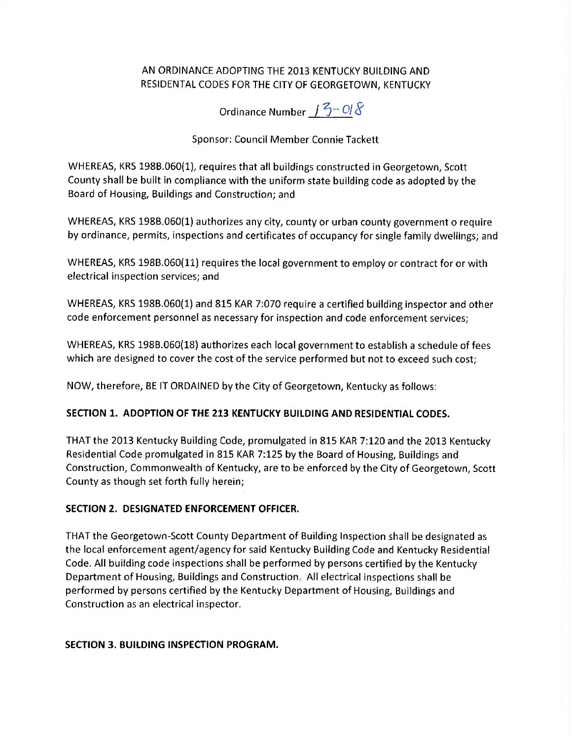## AN ORDINANCE ADOPTING THE 2013 KENTUCKY BUILDING AND RESIDENTAL CODES FOR THE CITY OF GEORGETOWN, KENTUCKY

Ordinance Number 13-018

## Sponsor: Council Member Connie Tackett

WHEREAS, KRS 198B.060(1), requires that all buildings constructed in Georgetown, Scott County shall be built in compliance with the uniform state building code as adopted by the Board of Housing, Buildings and Construction; and

WHEREAS, KRS 198B.060(1) authorizes any city, county or urban county government o require by ordinance, permits, inspections and certificates of occupancy for single family dwellings; and

WHEREAS, KRS 198B.060(11) requires the local government to employ or contract for or with electrical inspection services; and

WHEREAS, KRS 198B.060(1) and 815 KAR 7:070 require a certified building inspector and other code enforcement personnel as necessary for inspection and code enforcement services;

WHEREAS, KRS 198B.060(18) authorizes each local government to establish a schedule of fees which are designed to cover the cost of the service performed but not to exceed such cost;

NOW, therefore, BE IT ORDAINED by the City of Georgetown, Kentucky as follows:

## SECTION 1. ADOPTION OF THE 213 KENTUCKY BUILDING AND RESIDENTIAL CODES.

THAT the 2013 Kentucky Building Code, promulgated in 815 KAR 7:120 and the 2013 Kentucky Residential Code promulgated in 815 KAR 7:125 by the Board of Housing, Buildings and Construction, Commonwealth of Kentucky, are to be enforced by the City of Georgetown, Scott County as though set forth fully herein;

### SECTION 2. DESIGNATED ENFORCEMENT OFFICER.

THAT the Georgetown-Scott County Department of Building Inspection shall be designated as the local enforcement agent/agency for said Kentucky Building Code and Kentucky Residential Code. All building code inspections shall be performed by persons certified by the Kentucky Department of Housing, Buildings and Construction. All electrical inspections shall be performed by persons certified by the Kentucky Department of Housing, Buildings and Construction as an electrical inspector.

## SECTION 3. BUILDING INSPECTION PROGRAM.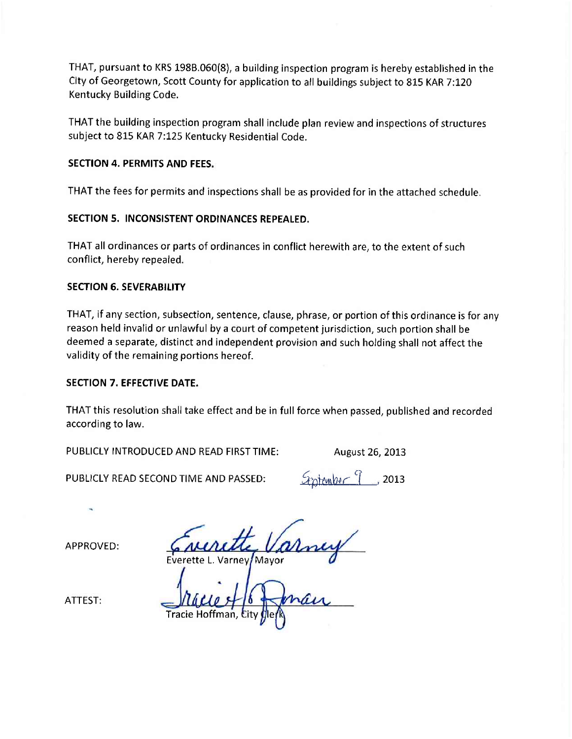THAT, pursuant to KRS 198B.060(8), a building inspection program is hereby established in the City of Georgetown, Scott County for application to all buildings subject to 815 KAR 7:120 Kentucky Building Code.

THAT the building inspection program shall include plan review and inspections of structures subject to 815 KAR 7:125 Kentucky Residential Code.

### **SECTION 4. PERMITS AND FEES.**

THAT the fees for permits and inspections shall be as provided for in the attached schedule.

SECTION 5. INCONSISTENT ORDINANCES REPEALED.

THAT all ordinances or parts of ordinances in conflict herewith are, to the extent of such conflict, hereby repealed.

### **SECTION 6. SEVERABILITY**

THAT, if any section, subsection, sentence, clause, phrase, or portion of this ordinance is for any reason held invalid or unlawful by a court of competent jurisdiction, such portion shall be deemed a separate, distinct and independent provision and such holding shall not affect the validity of the remaining portions hereof.

### **SECTION 7. EFFECTIVE DATE.**

THAT this resolution shall take effect and be in full force when passed, published and recorded according to law.

PUBLICLY INTRODUCED AND READ FIRST TIME:

August 26, 2013

PUBLICLY READ SECOND TIME AND PASSED:

Grotember 9  $, 2013$ 

APPROVED:

Varney/Mayor

ATTEST: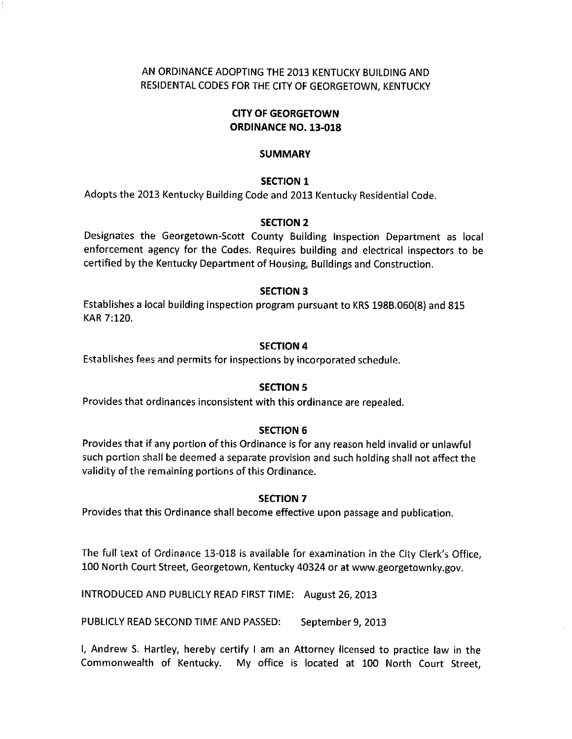## AN ORDINANCE ADOPTING THE 2013 KENTUCKY BUILDING AND RESIDENTAL CODES FOR THE CITY OF GEORGETOWN, KENTUCKY

### **CITY OF GEORGETOWN ORDINANCE NO. 13-018**

#### **SUMMARY**

#### **SECTION 1**

Adopts the 2013 Kentucky Building Code and 2013 Kentucky Residential Code.

#### **SECTION 2**

Designates the Georgetown-Scott County Building Inspection Department as local enforcement agency for the Codes. Requires building and electrical inspectors to be certified by the Kentucky Department of Housing, Buildings and Construction.

#### **SECTION 3**

Establishes a local building inspection program pursuant to KRS 198B.060(8) and 815 KAR 7:120.

#### **SECTION 4**

Establishes fees and permits for inspections by incorporated schedule.

#### **SECTION 5**

Provides that ordinances inconsistent with this ordinance are repealed.

#### **SECTION 6**

Provides that if any portion of this Ordinance is for any reason held invalid or unlawful such portion shall be deemed a separate provision and such holding shall not affect the validity of the remaining portions of this Ordinance.

#### **SECTION 7**

Provides that this Ordinance shall become effective upon passage and publication.

The full text of Ordinance 13-018 is available for examination in the City Clerk's Office, 100 North Court Street, Georgetown, Kentucky 40324 or at www.georgetownky.gov.

INTRODUCED AND PUBLICLY READ FIRST TIME: August 26, 2013

PUBLICLY READ SECOND TIME AND PASSED: September 9, 2013

I, Andrew S. Hartley, hereby certify I am an Attorney licensed to practice law in the Commonwealth of Kentucky. My office is located at 100 North Court Street,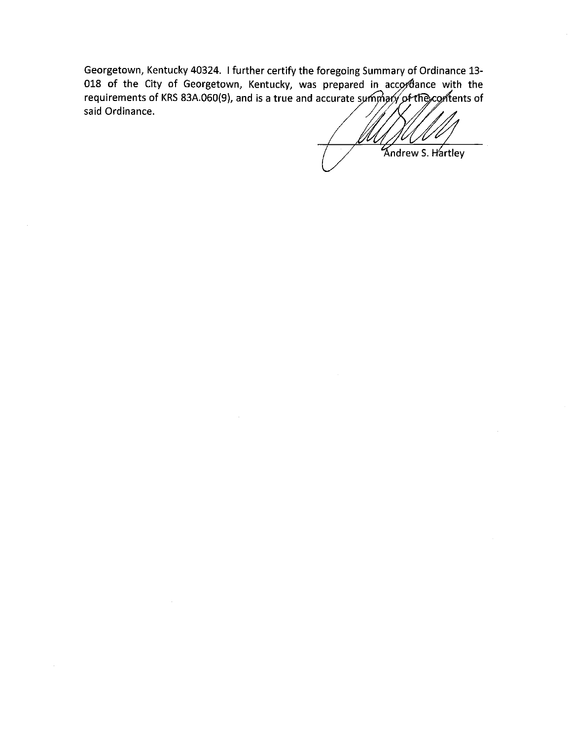Georgetown, Kentucky 40324. I further certify the foregoing Summary of Ordinance 13-018 of the City of Georgetown, Kentucky, was prepared in accordance with the requirements of KRS 83A 060(9), and is a true and accurate summary of the contents of said Ordinance.

**Kndrew S. Hartley**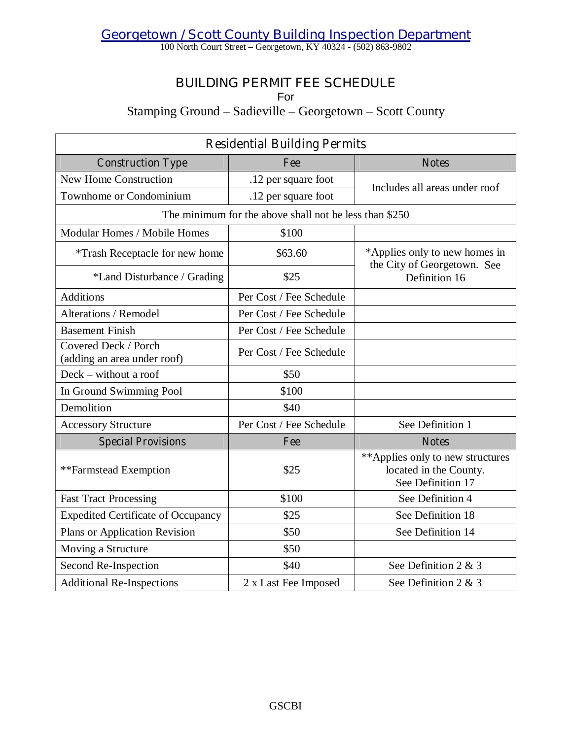*Georgetown / Scott County Building Inspection Department*

100 North Court Street –Georgetown, KY 40324 - (502) 863-9802

# **BUILDING PERMIT FEE SCHEDULE**

For

Stamping Ground – Sadieville – Georgetown – Scott County

| <b>Residential Building Permits</b>                 |                                                        |                                                                                 |  |  |
|-----------------------------------------------------|--------------------------------------------------------|---------------------------------------------------------------------------------|--|--|
| <b>Construction Type</b>                            | Fee                                                    | <b>Notes</b>                                                                    |  |  |
| New Home Construction                               | .12 per square foot                                    | Includes all areas under roof                                                   |  |  |
| Townhome or Condominium                             | .12 per square foot                                    |                                                                                 |  |  |
|                                                     | The minimum for the above shall not be less than \$250 |                                                                                 |  |  |
| Modular Homes / Mobile Homes                        | \$100                                                  |                                                                                 |  |  |
| *Trash Receptacle for new home                      | \$63.60                                                | *Applies only to new homes in<br>the City of Georgetown. See                    |  |  |
| *Land Disturbance / Grading                         | \$25                                                   | Definition 16                                                                   |  |  |
| <b>Additions</b>                                    | Per Cost / Fee Schedule                                |                                                                                 |  |  |
| <b>Alterations / Remodel</b>                        | Per Cost / Fee Schedule                                |                                                                                 |  |  |
| <b>Basement Finish</b>                              | Per Cost / Fee Schedule                                |                                                                                 |  |  |
| Covered Deck / Porch<br>(adding an area under roof) | Per Cost / Fee Schedule                                |                                                                                 |  |  |
| Deck – without a roof                               | \$50                                                   |                                                                                 |  |  |
| In Ground Swimming Pool                             | \$100                                                  |                                                                                 |  |  |
| Demolition                                          | \$40                                                   |                                                                                 |  |  |
| <b>Accessory Structure</b>                          | Per Cost / Fee Schedule                                | See Definition 1                                                                |  |  |
| <b>Special Provisions</b>                           | Fee                                                    | <b>Notes</b>                                                                    |  |  |
| **Farmstead Exemption                               | \$25                                                   | **Applies only to new structures<br>located in the County.<br>See Definition 17 |  |  |
| <b>Fast Tract Processing</b>                        | \$100                                                  | See Definition 4                                                                |  |  |
| <b>Expedited Certificate of Occupancy</b>           | \$25                                                   | See Definition 18                                                               |  |  |
| Plans or Application Revision                       | \$50                                                   | See Definition 14                                                               |  |  |
| Moving a Structure                                  | \$50                                                   |                                                                                 |  |  |
| Second Re-Inspection                                | \$40                                                   | See Definition 2 & 3                                                            |  |  |
| <b>Additional Re-Inspections</b>                    | 2 x Last Fee Imposed                                   | See Definition 2 & 3                                                            |  |  |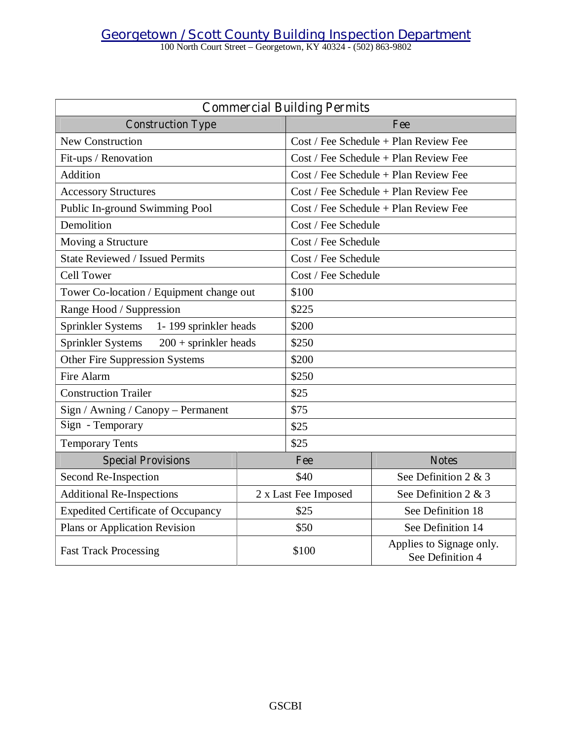100 North Court Street –Georgetown, KY 40324 - (502) 863-9802

| <b>Commercial Building Permits</b>           |  |                                                       |                                         |  |
|----------------------------------------------|--|-------------------------------------------------------|-----------------------------------------|--|
| <b>Construction Type</b>                     |  | Fee                                                   |                                         |  |
| <b>New Construction</b>                      |  | $Cost / Fee$ Schedule + Plan Review Fee               |                                         |  |
| Fit-ups / Renovation                         |  |                                                       | $Cost / Fee$ Schedule + Plan Review Fee |  |
| Addition                                     |  | Cost / Fee Schedule + Plan Review Fee                 |                                         |  |
| <b>Accessory Structures</b>                  |  | $Cost / Fee$ Schedule + Plan Review Fee               |                                         |  |
| Public In-ground Swimming Pool               |  | $Cost / Fee$ Schedule + Plan Review Fee               |                                         |  |
| Demolition                                   |  | Cost / Fee Schedule                                   |                                         |  |
| Moving a Structure                           |  | Cost / Fee Schedule                                   |                                         |  |
| <b>State Reviewed / Issued Permits</b>       |  | Cost / Fee Schedule                                   |                                         |  |
| <b>Cell Tower</b>                            |  | Cost / Fee Schedule                                   |                                         |  |
| Tower Co-location / Equipment change out     |  | \$100                                                 |                                         |  |
| Range Hood / Suppression                     |  | \$225                                                 |                                         |  |
| 1-199 sprinkler heads<br>Sprinkler Systems   |  | \$200                                                 |                                         |  |
| Sprinkler Systems<br>$200 +$ sprinkler heads |  | \$250                                                 |                                         |  |
| Other Fire Suppression Systems               |  | \$200                                                 |                                         |  |
| Fire Alarm                                   |  | \$250                                                 |                                         |  |
| <b>Construction Trailer</b>                  |  | \$25                                                  |                                         |  |
| Sign / Awning / Canopy - Permanent           |  | \$75                                                  |                                         |  |
| Sign - Temporary                             |  | \$25                                                  |                                         |  |
| <b>Temporary Tents</b>                       |  | \$25                                                  |                                         |  |
| <b>Special Provisions</b>                    |  | Fee                                                   | <b>Notes</b>                            |  |
| Second Re-Inspection                         |  | \$40                                                  | See Definition 2 & 3                    |  |
| <b>Additional Re-Inspections</b>             |  | 2 x Last Fee Imposed                                  | See Definition 2 & 3                    |  |
| <b>Expedited Certificate of Occupancy</b>    |  | \$25                                                  | See Definition 18                       |  |
| Plans or Application Revision                |  | \$50                                                  | See Definition 14                       |  |
| <b>Fast Track Processing</b>                 |  | Applies to Signage only.<br>\$100<br>See Definition 4 |                                         |  |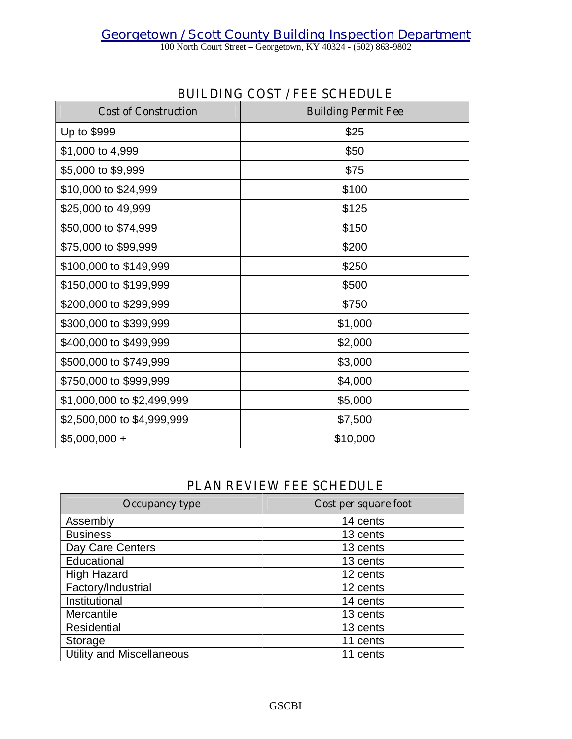*Georgetown / Scott County Building Inspection Department*

100 North Court Street –Georgetown, KY 40324 - (502) 863-9802

| <b>Cost of Construction</b> | <b>Building Permit Fee</b> |
|-----------------------------|----------------------------|
| Up to \$999                 | \$25                       |
| \$1,000 to 4,999            | \$50                       |
| \$5,000 to \$9,999          | \$75                       |
| \$10,000 to \$24,999        | \$100                      |
| \$25,000 to 49,999          | \$125                      |
| \$50,000 to \$74,999        | \$150                      |
| \$75,000 to \$99,999        | \$200                      |
| \$100,000 to \$149,999      | \$250                      |
| \$150,000 to \$199,999      | \$500                      |
| \$200,000 to \$299,999      | \$750                      |
| \$300,000 to \$399,999      | \$1,000                    |
| \$400,000 to \$499,999      | \$2,000                    |
| \$500,000 to \$749,999      | \$3,000                    |
| \$750,000 to \$999,999      | \$4,000                    |
| \$1,000,000 to \$2,499,999  | \$5,000                    |
| \$2,500,000 to \$4,999,999  | \$7,500                    |
| $$5,000,000 +$              | \$10,000                   |

## **BUILDING COST / FEE SCHEDULE**

## **PLAN REVIEW FEE SCHEDULE**

| <b>Occupancy type</b>            | Cost per square foot |
|----------------------------------|----------------------|
| Assembly                         | 14 cents             |
| <b>Business</b>                  | 13 cents             |
| Day Care Centers                 | 13 cents             |
| Educational                      | 13 cents             |
| <b>High Hazard</b>               | 12 cents             |
| Factory/Industrial               | 12 cents             |
| Institutional                    | 14 cents             |
| Mercantile                       | 13 cents             |
| Residential                      | 13 cents             |
| Storage                          | 11 cents             |
| <b>Utility and Miscellaneous</b> | 11 cents             |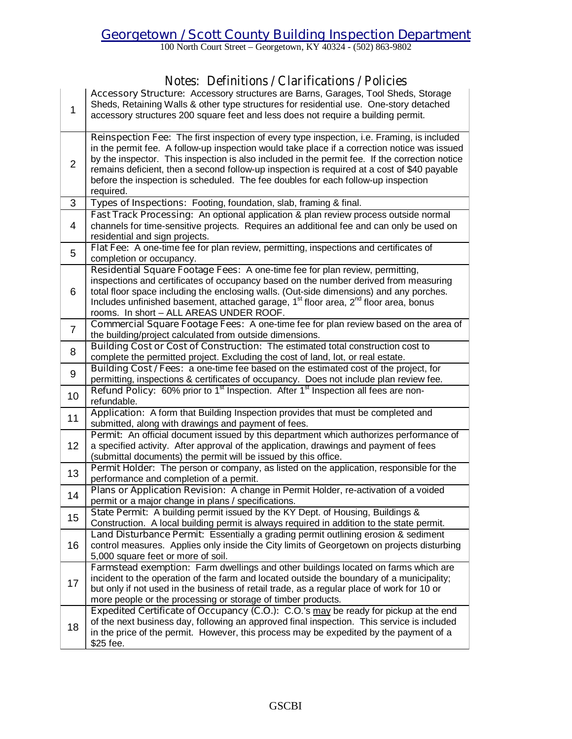100 North Court Street –Georgetown, KY 40324 - (502) 863-9802

## **Notes: Definitions / Clarifications / Policies**

| $\mathbf{1}$   | Demnuono / Ciamicationo / I Oncies<br>Accessory Structure: Accessory structures are Barns, Garages, Tool Sheds, Storage<br>Sheds, Retaining Walls & other type structures for residential use. One-story detached<br>accessory structures 200 square feet and less does not require a building permit.                                                                                                                                                                                        |
|----------------|-----------------------------------------------------------------------------------------------------------------------------------------------------------------------------------------------------------------------------------------------------------------------------------------------------------------------------------------------------------------------------------------------------------------------------------------------------------------------------------------------|
| $\overline{2}$ | Reinspection Fee: The first inspection of every type inspection, i.e. Framing, is included<br>in the permit fee. A follow-up inspection would take place if a correction notice was issued<br>by the inspector. This inspection is also included in the permit fee. If the correction notice<br>remains deficient, then a second follow-up inspection is required at a cost of \$40 payable<br>before the inspection is scheduled. The fee doubles for each follow-up inspection<br>required. |
| 3              | Types of Inspections: Footing, foundation, slab, framing & final.                                                                                                                                                                                                                                                                                                                                                                                                                             |
| 4              | Fast Track Processing: An optional application & plan review process outside normal<br>channels for time-sensitive projects. Requires an additional fee and can only be used on<br>residential and sign projects.                                                                                                                                                                                                                                                                             |
| 5              | Flat Fee: A one-time fee for plan review, permitting, inspections and certificates of<br>completion or occupancy.                                                                                                                                                                                                                                                                                                                                                                             |
| 6              | Residential Square Footage Fees: A one-time fee for plan review, permitting,<br>inspections and certificates of occupancy based on the number derived from measuring<br>total floor space including the enclosing walls. (Out-side dimensions) and any porches.<br>Includes unfinished basement, attached garage, 1 <sup>st</sup> floor area, 2 <sup>nd</sup> floor area, bonus<br>rooms. In short - ALL AREAS UNDER ROOF.                                                                    |
| $\overline{7}$ | Commercial Square Footage Fees: A one-time fee for plan review based on the area of<br>the building/project calculated from outside dimensions.                                                                                                                                                                                                                                                                                                                                               |
| 8              | Building Cost or Cost of Construction: The estimated total construction cost to<br>complete the permitted project. Excluding the cost of land, lot, or real estate.                                                                                                                                                                                                                                                                                                                           |
| 9              | Building Cost / Fees: a one-time fee based on the estimated cost of the project, for<br>permitting, inspections & certificates of occupancy. Does not include plan review fee.                                                                                                                                                                                                                                                                                                                |
| 10             | Refund Policy: 60% prior to 1 <sup>st</sup> Inspection. After 1 <sup>st</sup> Inspection all fees are non-<br>refundable.                                                                                                                                                                                                                                                                                                                                                                     |
| 11             | Application: A form that Building Inspection provides that must be completed and<br>submitted, along with drawings and payment of fees.                                                                                                                                                                                                                                                                                                                                                       |
| 12             | Permit: An official document issued by this department which authorizes performance of<br>a specified activity. After approval of the application, drawings and payment of fees<br>(submittal documents) the permit will be issued by this office.                                                                                                                                                                                                                                            |
| 13             | Permit Holder: The person or company, as listed on the application, responsible for the<br>performance and completion of a permit.                                                                                                                                                                                                                                                                                                                                                            |
| 14             | Plans or Application Revision: A change in Permit Holder, re-activation of a voided<br>permit or a major change in plans / specifications.                                                                                                                                                                                                                                                                                                                                                    |
| 15             | State Permit: A building permit issued by the KY Dept. of Housing, Buildings &<br>Construction. A local building permit is always required in addition to the state permit.                                                                                                                                                                                                                                                                                                                   |
| 16             | Land Disturbance Permit: Essentially a grading permit outlining erosion & sediment<br>control measures. Applies only inside the City limits of Georgetown on projects disturbing<br>5,000 square feet or more of soil.                                                                                                                                                                                                                                                                        |
| 17             | Farmstead exemption: Farm dwellings and other buildings located on farms which are<br>incident to the operation of the farm and located outside the boundary of a municipality;<br>but only if not used in the business of retail trade, as a regular place of work for 10 or<br>more people or the processing or storage of timber products.                                                                                                                                                 |
| 18             | <b>Expedited Certificate of Occupancy (C.O.):</b> C.O.'s may be ready for pickup at the end<br>of the next business day, following an approved final inspection. This service is included<br>in the price of the permit. However, this process may be expedited by the payment of a<br>\$25 fee.                                                                                                                                                                                              |